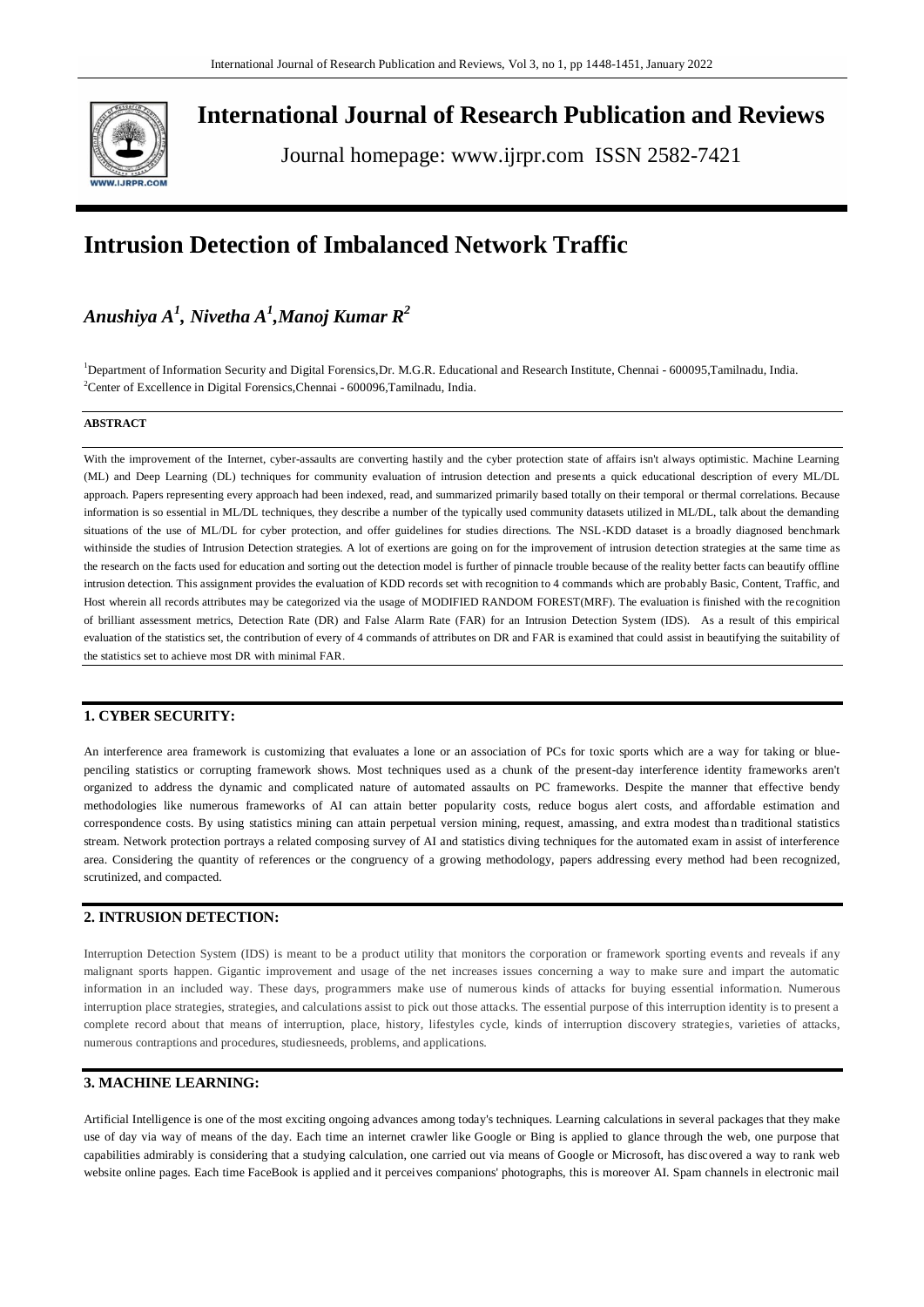

**International Journal of Research Publication and Reviews**

Journal homepage: www.ijrpr.com ISSN 2582-7421

# **Intrusion Detection of Imbalanced Network Traffic**

# *Anushiya A<sup>1</sup> , Nivetha A<sup>1</sup> ,Manoj Kumar R<sup>2</sup>*

<sup>1</sup>Department of Information Security and Digital Forensics,Dr. M.G.R. Educational and Research Institute, Chennai - 600095,Tamilnadu, India. <sup>2</sup>Center of Excellence in Digital Forensics, Chennai - 600096, Tamilnadu, India.

#### **ABSTRACT**

With the improvement of the Internet, cyber-assaults are converting hastily and the cyber protection state of affairs isn't always optimistic. Machine Learning (ML) and Deep Learning (DL) techniques for community evaluation of intrusion detection and presents a quick educational description of every ML/DL approach. Papers representing every approach had been indexed, read, and summarized primarily based totally on their temporal or thermal correlations. Because information is so essential in ML/DL techniques, they describe a number of the typically used community datasets utilized in ML/DL, talk about the demanding situations of the use of ML/DL for cyber protection, and offer guidelines for studies directions. The NSL-KDD dataset is a broadly diagnosed benchmark withinside the studies of Intrusion Detection strategies. A lot of exertions are going on for the improvement of intrusion detection strategies at the same time as the research on the facts used for education and sorting out the detection model is further of pinnacle trouble because of the reality better facts can beautify offline intrusion detection. This assignment provides the evaluation of KDD records set with recognition to 4 commands which are probably Basic, Content, Traffic, and Host wherein all records attributes may be categorized via the usage of MODIFIED RANDOM FOREST(MRF). The evaluation is finished with the recognition of brilliant assessment metrics, Detection Rate (DR) and False Alarm Rate (FAR) for an Intrusion Detection System (IDS). As a result of this empirical evaluation of the statistics set, the contribution of every of 4 commands of attributes on DR and FAR is examined that could assist in beautifying the suitability of the statistics set to achieve most DR with minimal FAR.

#### **1. CYBER SECURITY:**

An interference area framework is customizing that evaluates a lone or an association of PCs for toxic sports which are a way for taking or bluepenciling statistics or corrupting framework shows. Most techniques used as a chunk of the present-day interference identity frameworks aren't organized to address the dynamic and complicated nature of automated assaults on PC frameworks. Despite the manner that effective bendy methodologies like numerous frameworks of AI can attain better popularity costs, reduce bogus alert costs, and affordable estimation and correspondence costs. By using statistics mining can attain perpetual version mining, request, amassing, and extra modest tha n traditional statistics stream. Network protection portrays a related composing survey of AI and statistics diving techniques for the automated exam in assist of interference area. Considering the quantity of references or the congruency of a growing methodology, papers addressing every method had been recognized, scrutinized, and compacted.

#### **2. INTRUSION DETECTION:**

Interruption Detection System (IDS) is meant to be a product utility that monitors the corporation or framework sporting events and reveals if any malignant sports happen. Gigantic improvement and usage of the net increases issues concerning a way to make sure and impart the automatic information in an included way. These days, programmers make use of numerous kinds of attacks for buying essential information. Numerous interruption place strategies, strategies, and calculations assist to pick out those attacks. The essential purpose of this interruption identity is to present a complete record about that means of interruption, place, history, lifestyles cycle, kinds of interruption discovery strategies, varieties of attacks, numerous contraptions and procedures, studiesneeds, problems, and applications.

# **3. MACHINE LEARNING:**

Artificial Intelligence is one of the most exciting ongoing advances among today's techniques. Learning calculations in several packages that they make use of day via way of means of the day. Each time an internet crawler like Google or Bing is applied to glance through the web, one purpose that capabilities admirably is considering that a studying calculation, one carried out via means of Google or Microsoft, has discovered a way to rank web website online pages. Each time FaceBook is applied and it perceives companions' photographs, this is moreover AI. Spam channels in electronic mail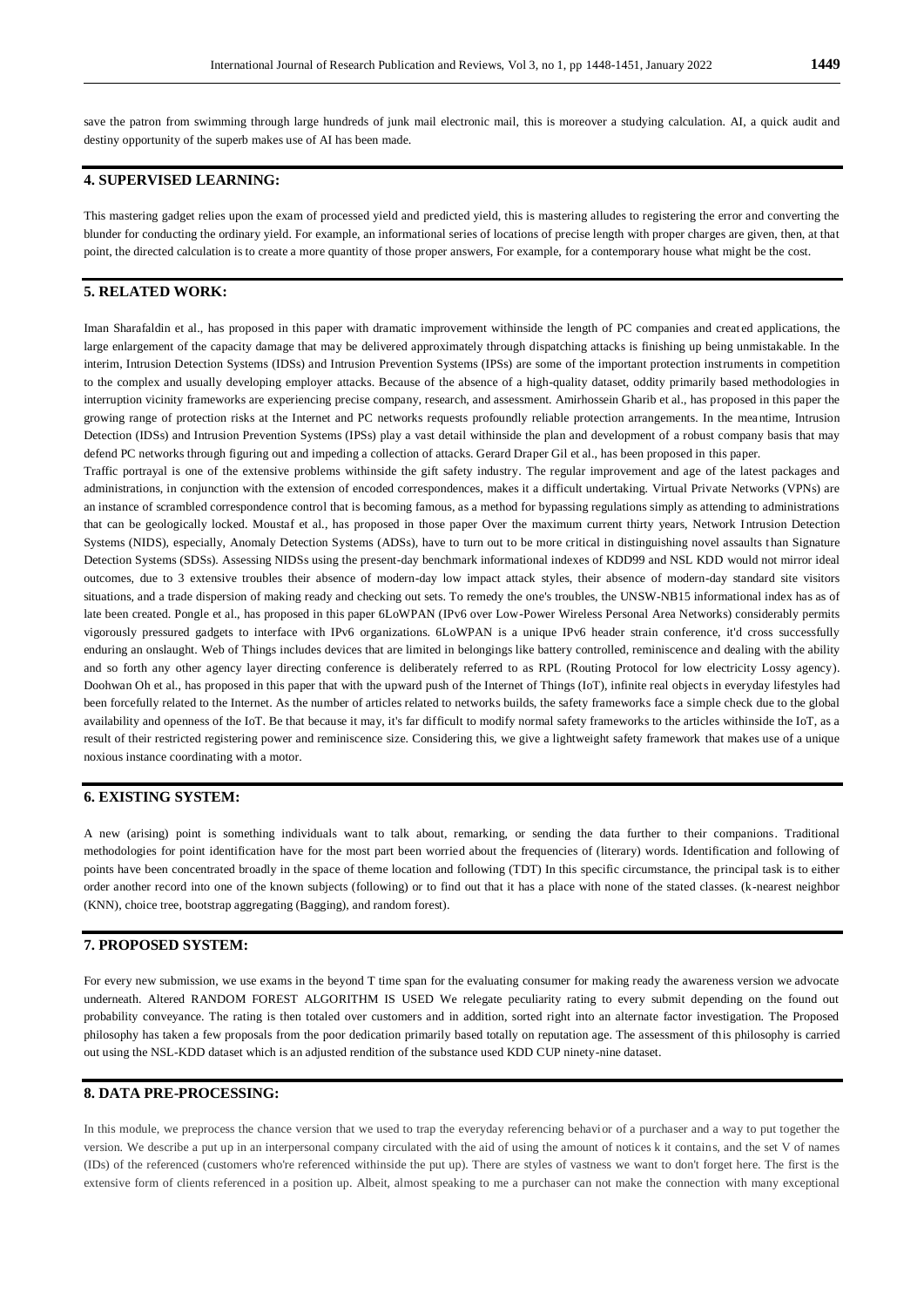save the patron from swimming through large hundreds of junk mail electronic mail, this is moreover a studying calculation. AI, a quick audit and destiny opportunity of the superb makes use of AI has been made.

# **4. SUPERVISED LEARNING:**

This mastering gadget relies upon the exam of processed yield and predicted yield, this is mastering alludes to registering the error and converting the blunder for conducting the ordinary yield. For example, an informational series of locations of precise length with proper charges are given, then, at that point, the directed calculation is to create a more quantity of those proper answers, For example, for a contemporary house what might be the cost.

#### **5. RELATED WORK:**

Iman Sharafaldin et al., has proposed in this paper with dramatic improvement withinside the length of PC companies and creat ed applications, the large enlargement of the capacity damage that may be delivered approximately through dispatching attacks is finishing up being unmistakable. In the interim, Intrusion Detection Systems (IDSs) and Intrusion Prevention Systems (IPSs) are some of the important protection instruments in competition to the complex and usually developing employer attacks. Because of the absence of a high-quality dataset, oddity primarily based methodologies in interruption vicinity frameworks are experiencing precise company, research, and assessment. Amirhossein Gharib et al., has proposed in this paper the growing range of protection risks at the Internet and PC networks requests profoundly reliable protection arrangements. In the meantime, Intrusion Detection (IDSs) and Intrusion Prevention Systems (IPSs) play a vast detail withinside the plan and development of a robust company basis that may defend PC networks through figuring out and impeding a collection of attacks. Gerard Draper Gil et al., has been proposed in this paper.

Traffic portrayal is one of the extensive problems withinside the gift safety industry. The regular improvement and age of the latest packages and administrations, in conjunction with the extension of encoded correspondences, makes it a difficult undertaking. Virtual Private Networks (VPNs) are an instance of scrambled correspondence control that is becoming famous, as a method for bypassing regulations simply as attending to administrations that can be geologically locked. Moustaf et al., has proposed in those paper Over the maximum current thirty years, Network Intrusion Detection Systems (NIDS), especially, Anomaly Detection Systems (ADSs), have to turn out to be more critical in distinguishing novel assaults than Signature Detection Systems (SDSs). Assessing NIDSs using the present-day benchmark informational indexes of KDD99 and NSL KDD would not mirror ideal outcomes, due to 3 extensive troubles their absence of modern-day low impact attack styles, their absence of modern-day standard site visitors situations, and a trade dispersion of making ready and checking out sets. To remedy the one's troubles, the UNSW-NB15 informational index has as of late been created. Pongle et al., has proposed in this paper 6LoWPAN (IPv6 over Low-Power Wireless Personal Area Networks) considerably permits vigorously pressured gadgets to interface with IPv6 organizations. 6LoWPAN is a unique IPv6 header strain conference, it'd cross successfully enduring an onslaught. Web of Things includes devices that are limited in belongings like battery controlled, reminiscence and dealing with the ability and so forth any other agency layer directing conference is deliberately referred to as RPL (Routing Protocol for low electricity Lossy agency). Doohwan Oh et al., has proposed in this paper that with the upward push of the Internet of Things (IoT), infinite real objects in everyday lifestyles had been forcefully related to the Internet. As the number of articles related to networks builds, the safety frameworks face a simple check due to the global availability and openness of the IoT. Be that because it may, it's far difficult to modify normal safety frameworks to the articles withinside the IoT, as a result of their restricted registering power and reminiscence size. Considering this, we give a lightweight safety framework that makes use of a unique noxious instance coordinating with a motor.

#### **6. EXISTING SYSTEM:**

A new (arising) point is something individuals want to talk about, remarking, or sending the data further to their companions. Traditional methodologies for point identification have for the most part been worried about the frequencies of (literary) words. Identification and following of points have been concentrated broadly in the space of theme location and following (TDT) In this specific circumstance, the principal task is to either order another record into one of the known subjects (following) or to find out that it has a place with none of the stated classes. (k-nearest neighbor (KNN), choice tree, bootstrap aggregating (Bagging), and random forest).

#### **7. PROPOSED SYSTEM:**

For every new submission, we use exams in the beyond T time span for the evaluating consumer for making ready the awareness version we advocate underneath. Altered RANDOM FOREST ALGORITHM IS USED We relegate peculiarity rating to every submit depending on the found out probability conveyance. The rating is then totaled over customers and in addition, sorted right into an alternate factor investigation. The Proposed philosophy has taken a few proposals from the poor dedication primarily based totally on reputation age. The assessment of this philosophy is carried out using the NSL-KDD dataset which is an adjusted rendition of the substance used KDD CUP ninety-nine dataset.

#### **8. DATA PRE-PROCESSING:**

In this module, we preprocess the chance version that we used to trap the everyday referencing behavior of a purchaser and a way to put together the version. We describe a put up in an interpersonal company circulated with the aid of using the amount of notices k it contains, and the set V of names (IDs) of the referenced (customers who're referenced withinside the put up). There are styles of vastness we want to don't forget here. The first is the extensive form of clients referenced in a position up. Albeit, almost speaking to me a purchaser can not make the connection with many exceptional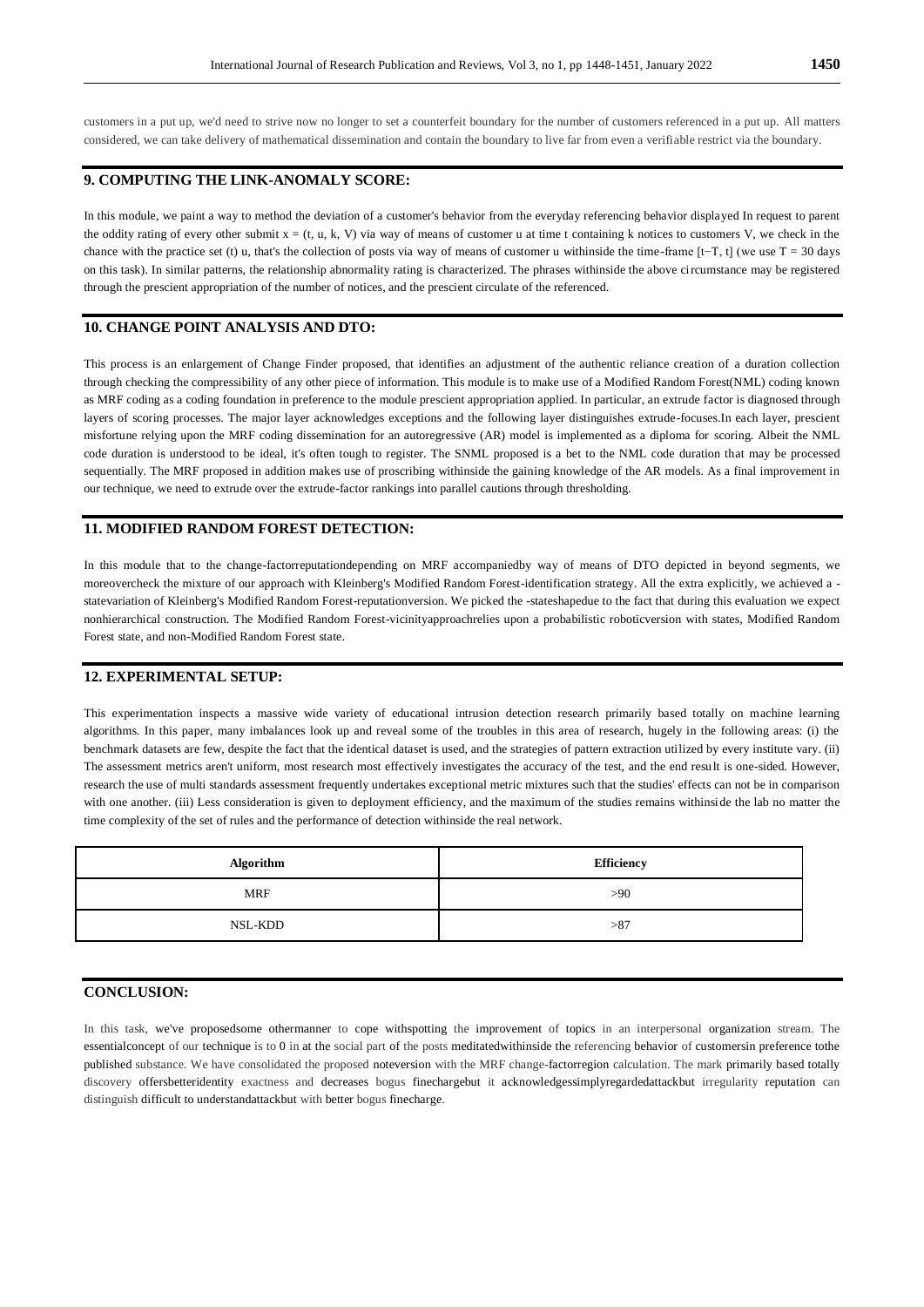customers in a put up, we'd need to strive now no longer to set a counterfeit boundary for the number of customers referenced in a put up. All matters considered, we can take delivery of mathematical dissemination and contain the boundary to live far from even a verifiable restrict via the boundary.

## **9. COMPUTING THE LINK-ANOMALY SCORE:**

In this module, we paint a way to method the deviation of a customer's behavior from the everyday referencing behavior displayed In request to parent the oddity rating of every other submit  $x = (t, u, k, V)$  via way of means of customer u at time t containing k notices to customers V, we check in the chance with the practice set (t) u, that's the collection of posts via way of means of customer u withinside the time-frame  $[t-T, t]$  (we use  $T = 30$  days on this task). In similar patterns, the relationship abnormality rating is characterized. The phrases withinside the above circumstance may be registered through the prescient appropriation of the number of notices, and the prescient circulate of the referenced.

#### **10. CHANGE POINT ANALYSIS AND DTO:**

This process is an enlargement of Change Finder proposed, that identifies an adjustment of the authentic reliance creation of a duration collection through checking the compressibility of any other piece of information. This module is to make use of a Modified Random Forest(NML) coding known as MRF coding as a coding foundation in preference to the module prescient appropriation applied. In particular, an extrude factor is diagnosed through layers of scoring processes. The major layer acknowledges exceptions and the following layer distinguishes extrude-focuses.In each layer, prescient misfortune relying upon the MRF coding dissemination for an autoregressive (AR) model is implemented as a diploma for scoring. Albeit the NML code duration is understood to be ideal, it's often tough to register. The SNML proposed is a bet to the NML code duration that may be processed sequentially. The MRF proposed in addition makes use of proscribing withinside the gaining knowledge of the AR models. As a final improvement in our technique, we need to extrude over the extrude-factor rankings into parallel cautions through thresholding.

#### **11. MODIFIED RANDOM FOREST DETECTION:**

In this module that to the change-factorreputationdepending on MRF accompaniedby way of means of DTO depicted in beyond segments, we moreovercheck the mixture of our approach with Kleinberg's Modified Random Forest-identification strategy. All the extra explicitly, we achieved a statevariation of Kleinberg's Modified Random Forest-reputationversion. We picked the -stateshapedue to the fact that during this evaluation we expect nonhierarchical construction. The Modified Random Forest-vicinityapproachrelies upon a probabilistic roboticversion with states, Modified Random Forest state, and non-Modified Random Forest state.

## **12. EXPERIMENTAL SETUP:**

This experimentation inspects a massive wide variety of educational intrusion detection research primarily based totally on machine learning algorithms. In this paper, many imbalances look up and reveal some of the troubles in this area of research, hugely in the following areas: (i) the benchmark datasets are few, despite the fact that the identical dataset is used, and the strategies of pattern extraction utilized by every institute vary. (ii) The assessment metrics aren't uniform, most research most effectively investigates the accuracy of the test, and the end result is one-sided. However, research the use of multi standards assessment frequently undertakes exceptional metric mixtures such that the studies' effects can not be in comparison with one another. (iii) Less consideration is given to deployment efficiency, and the maximum of the studies remains withinside the lab no matter the time complexity of the set of rules and the performance of detection withinside the real network.

| Algorithm  | Efficiency |
|------------|------------|
| <b>MRF</b> | >90        |
| NSL-KDD    | >87        |

#### **CONCLUSION:**

In this task, we've proposedsome othermanner to cope withspotting the improvement of topics in an interpersonal organization stream. The essentialconcept of our technique is to 0 in at the social part of the posts meditatedwithinside the referencing behavior of customersin preference tothe published substance. We have consolidated the proposed noteversion with the MRF change-factorregion calculation. The mark primarily based totally discovery offersbetteridentity exactness and decreases bogus finechargebut it acknowledgessimplyregardedattackbut irregularity reputation can distinguish difficult to understandattackbut with better bogus finecharge.